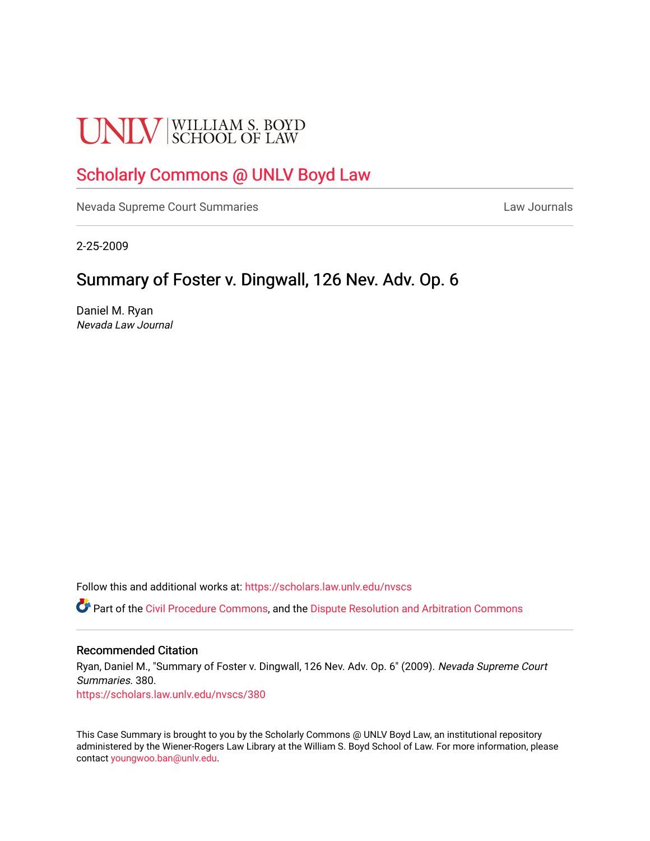# **UNLV** SCHOOL OF LAW

# [Scholarly Commons @ UNLV Boyd Law](https://scholars.law.unlv.edu/)

[Nevada Supreme Court Summaries](https://scholars.law.unlv.edu/nvscs) **Law Journals** Law Journals

2-25-2009

## Summary of Foster v. Dingwall, 126 Nev. Adv. Op. 6

Daniel M. Ryan Nevada Law Journal

Follow this and additional works at: [https://scholars.law.unlv.edu/nvscs](https://scholars.law.unlv.edu/nvscs?utm_source=scholars.law.unlv.edu%2Fnvscs%2F380&utm_medium=PDF&utm_campaign=PDFCoverPages)

**C** Part of the [Civil Procedure Commons,](http://network.bepress.com/hgg/discipline/584?utm_source=scholars.law.unlv.edu%2Fnvscs%2F380&utm_medium=PDF&utm_campaign=PDFCoverPages) and the Dispute Resolution and Arbitration Commons

#### Recommended Citation

Ryan, Daniel M., "Summary of Foster v. Dingwall, 126 Nev. Adv. Op. 6" (2009). Nevada Supreme Court Summaries. 380. [https://scholars.law.unlv.edu/nvscs/380](https://scholars.law.unlv.edu/nvscs/380?utm_source=scholars.law.unlv.edu%2Fnvscs%2F380&utm_medium=PDF&utm_campaign=PDFCoverPages)

This Case Summary is brought to you by the Scholarly Commons @ UNLV Boyd Law, an institutional repository administered by the Wiener-Rogers Law Library at the William S. Boyd School of Law. For more information, please contact [youngwoo.ban@unlv.edu](mailto:youngwoo.ban@unlv.edu).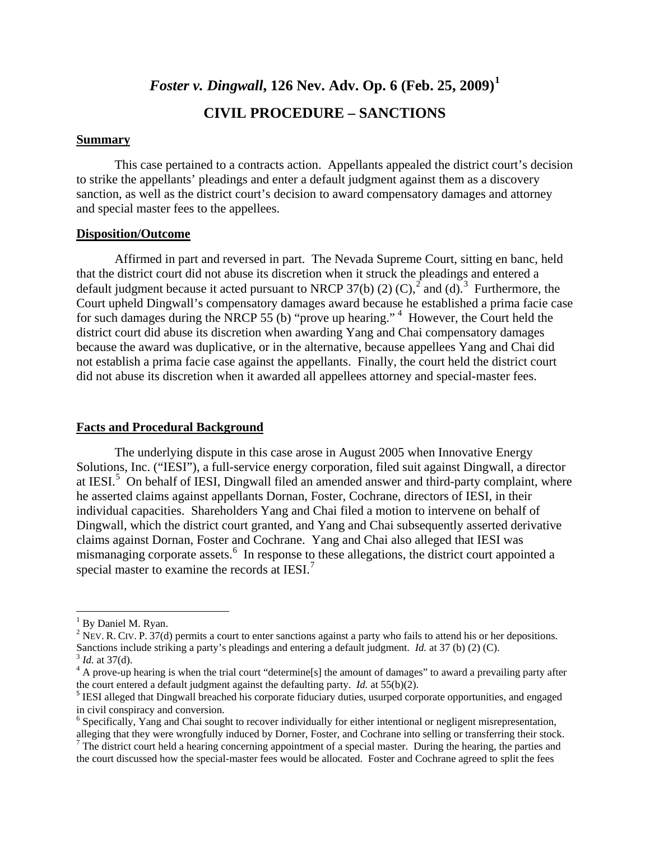### *Foster v. Dingwall***, 126 Nev. Adv. Op. 6 (Feb. 25, 2009)[1](#page-1-0)**

## **CIVIL PROCEDURE – SANCTIONS**

#### **Summary**

This case pertained to a contracts action. Appellants appealed the district court's decision to strike the appellants' pleadings and enter a default judgment against them as a discovery sanction, as well as the district court's decision to award compensatory damages and attorney and special master fees to the appellees.

#### **Disposition/Outcome**

Affirmed in part and reversed in part. The Nevada Supreme Court, sitting en banc, held that the district court did not abuse its discretion when it struck the pleadings and entered a default judgment because it acted pursuant to NRCP 37(b) ([2](#page-1-1)) (C), $^2$  and (d).<sup>[3](#page-1-2)</sup> Furthermore, the Court upheld Dingwall's compensatory damages award because he established a prima facie case for such damages during the NRCP 55 (b) "prove up hearing."<sup>[4](#page-1-3)</sup> However, the Court held the district court did abuse its discretion when awarding Yang and Chai compensatory damages because the award was duplicative, or in the alternative, because appellees Yang and Chai did not establish a prima facie case against the appellants. Finally, the court held the district court did not abuse its discretion when it awarded all appellees attorney and special-master fees.

#### **Facts and Procedural Background**

The underlying dispute in this case arose in August 2005 when Innovative Energy Solutions, Inc. ("IESI"), a full-service energy corporation, filed suit against Dingwall, a director at IESI.<sup>[5](#page-1-4)</sup> On behalf of IESI, Dingwall filed an amended answer and third-party complaint, where he asserted claims against appellants Dornan, Foster, Cochrane, directors of IESI, in their individual capacities. Shareholders Yang and Chai filed a motion to intervene on behalf of Dingwall, which the district court granted, and Yang and Chai subsequently asserted derivative claims against Dornan, Foster and Cochrane. Yang and Chai also alleged that IESI was mismanaging corporate assets.<sup>[6](#page-1-5)</sup> In response to these allegations, the district court appointed a special master to examine the records at IESI.<sup>[7](#page-1-6)</sup>

 $\overline{\phantom{a}}$ 

<span id="page-1-0"></span> $<sup>1</sup>$  By Daniel M. Ryan.</sup>

<span id="page-1-1"></span> $2$  NEV. R. CIV. P. 37(d) permits a court to enter sanctions against a party who fails to attend his or her depositions. Sanctions include striking a party's pleadings and entering a default judgment. *Id.* at 37 (b) (2) (C).<br><sup>3</sup> *Id.* at 37(d).<br><sup>4</sup> A prove-up hearing is when the trial court "determine[s] the amount of damages" to award a p

<span id="page-1-3"></span><span id="page-1-2"></span>the court entered a default judgment against the defaulting party. *Id.* at 55(b)(2).<br><sup>5</sup> IESI alleged that Dingwall breached his corporate fiduciary duties, usurped corporate opportunities, and engaged

<span id="page-1-4"></span>in civil conspiracy and conversion.<br><sup>6</sup> Specifically, Yang and Chai sought to recover individually for either intentional or negligent misrepresentation,

<span id="page-1-5"></span>alleging that they were wrongfully induced by Dorner, Foster, and Cochrane into selling or transferring their stock.

<span id="page-1-6"></span> $7$  The district court held a hearing concerning appointment of a special master. During the hearing, the parties and the court discussed how the special-master fees would be allocated. Foster and Cochrane agreed to split the fees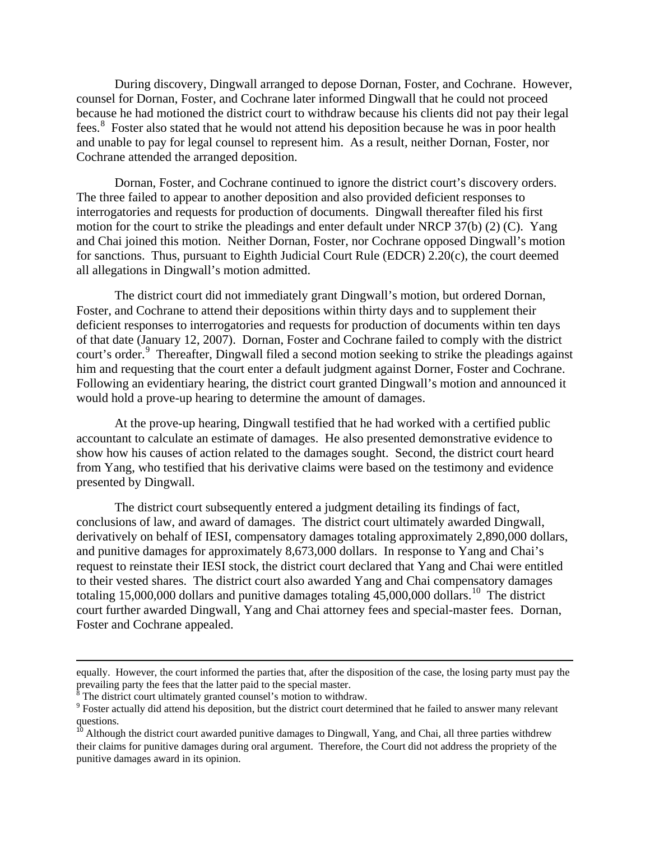During discovery, Dingwall arranged to depose Dornan, Foster, and Cochrane. However, counsel for Dornan, Foster, and Cochrane later informed Dingwall that he could not proceed because he had motioned the district court to withdraw because his clients did not pay their legal fees.<sup>[8](#page-2-0)</sup> Foster also stated that he would not attend his deposition because he was in poor health and unable to pay for legal counsel to represent him. As a result, neither Dornan, Foster, nor Cochrane attended the arranged deposition.

Dornan, Foster, and Cochrane continued to ignore the district court's discovery orders. The three failed to appear to another deposition and also provided deficient responses to interrogatories and requests for production of documents. Dingwall thereafter filed his first motion for the court to strike the pleadings and enter default under NRCP 37(b) (2) (C). Yang and Chai joined this motion. Neither Dornan, Foster, nor Cochrane opposed Dingwall's motion for sanctions. Thus, pursuant to Eighth Judicial Court Rule (EDCR) 2.20(c), the court deemed all allegations in Dingwall's motion admitted.

The district court did not immediately grant Dingwall's motion, but ordered Dornan, Foster, and Cochrane to attend their depositions within thirty days and to supplement their deficient responses to interrogatories and requests for production of documents within ten days of that date (January 12, 2007). Dornan, Foster and Cochrane failed to comply with the district court's order.<sup>[9](#page-2-1)</sup> Thereafter, Dingwall filed a second motion seeking to strike the pleadings against him and requesting that the court enter a default judgment against Dorner, Foster and Cochrane. Following an evidentiary hearing, the district court granted Dingwall's motion and announced it would hold a prove-up hearing to determine the amount of damages.

At the prove-up hearing, Dingwall testified that he had worked with a certified public accountant to calculate an estimate of damages. He also presented demonstrative evidence to show how his causes of action related to the damages sought. Second, the district court heard from Yang, who testified that his derivative claims were based on the testimony and evidence presented by Dingwall.

The district court subsequently entered a judgment detailing its findings of fact, conclusions of law, and award of damages. The district court ultimately awarded Dingwall, derivatively on behalf of IESI, compensatory damages totaling approximately 2,890,000 dollars, and punitive damages for approximately 8,673,000 dollars. In response to Yang and Chai's request to reinstate their IESI stock, the district court declared that Yang and Chai were entitled to their vested shares. The district court also awarded Yang and Chai compensatory damages totaling 15,000,000 dollars and punitive damages totaling  $45,000,000$  dollars.<sup>[10](#page-2-2)</sup> The district court further awarded Dingwall, Yang and Chai attorney fees and special-master fees. Dornan, Foster and Cochrane appealed.

 $\overline{\phantom{a}}$ 

equally. However, the court informed the parties that, after the disposition of the case, the losing party must pay the prevailing party the fees that the latter paid to the special master.<br><sup>8</sup> The district court ultimately granted counsel's motion to withdraw.

<span id="page-2-1"></span><span id="page-2-0"></span><sup>&</sup>lt;sup>9</sup> Foster actually did attend his deposition, but the district court determined that he failed to answer many relevant questions.

<span id="page-2-2"></span><sup>&</sup>lt;sup>10</sup> Although the district court awarded punitive damages to Dingwall, Yang, and Chai, all three parties withdrew their claims for punitive damages during oral argument. Therefore, the Court did not address the propriety of the punitive damages award in its opinion.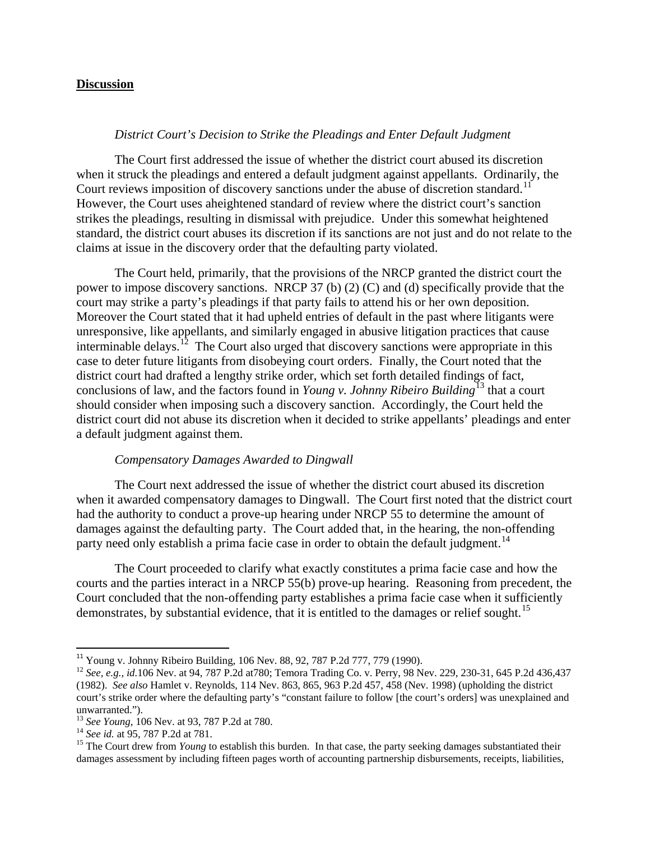#### **Discussion**

#### *District Court's Decision to Strike the Pleadings and Enter Default Judgment*

The Court first addressed the issue of whether the district court abused its discretion when it struck the pleadings and entered a default judgment against appellants. Ordinarily, the Court reviews imposition of discovery sanctions under the abuse of discretion standard.<sup>[11](#page-3-0)</sup> However, the Court uses aheightened standard of review where the district court's sanction strikes the pleadings, resulting in dismissal with prejudice. Under this somewhat heightened standard, the district court abuses its discretion if its sanctions are not just and do not relate to the claims at issue in the discovery order that the defaulting party violated.

The Court held, primarily, that the provisions of the NRCP granted the district court the power to impose discovery sanctions. NRCP 37 (b) (2) (C) and (d) specifically provide that the court may strike a party's pleadings if that party fails to attend his or her own deposition. Moreover the Court stated that it had upheld entries of default in the past where litigants were unresponsive, like appellants, and similarly engaged in abusive litigation practices that cause interminable delays.<sup>12</sup> The Court also urged that discovery sanctions were appropriate in this case to deter future litigants from disobeying court orders. Finally, the Court noted that the district court had drafted a lengthy strike order, which set forth detailed findings of fact, conclusions of law, and the factors found in *Young v. Johnny Ribeiro Building*[13](#page-3-2) that a court should consider when imposing such a discovery sanction. Accordingly, the Court held the district court did not abuse its discretion when it decided to strike appellants' pleadings and enter a default judgment against them.

#### *Compensatory Damages Awarded to Dingwall*

The Court next addressed the issue of whether the district court abused its discretion when it awarded compensatory damages to Dingwall. The Court first noted that the district court had the authority to conduct a prove-up hearing under NRCP 55 to determine the amount of damages against the defaulting party. The Court added that, in the hearing, the non-offending party need only establish a prima facie case in order to obtain the default judgment.<sup>[14](#page-3-3)</sup>

The Court proceeded to clarify what exactly constitutes a prima facie case and how the courts and the parties interact in a NRCP 55(b) prove-up hearing. Reasoning from precedent, the Court concluded that the non-offending party establishes a prima facie case when it sufficiently demonstrates, by substantial evidence, that it is entitled to the damages or relief sought.<sup>[15](#page-3-4)</sup>

<span id="page-3-0"></span><sup>&</sup>lt;sup>11</sup> Young v. Johnny Ribeiro Building, 106 Nev. 88, 92, 787 P.2d 777, 779 (1990).

<span id="page-3-1"></span><sup>12</sup> *See, e.g., id.*106 Nev. at 94, 787 P.2d at780; Temora Trading Co. v. Perry, 98 Nev. 229, 230-31, 645 P.2d 436,437 (1982). *See also* Hamlet v. Reynolds, 114 Nev. 863, 865, 963 P.2d 457, 458 (Nev. 1998) (upholding the district court's strike order where the defaulting party's "constant failure to follow [the court's orders] was unexplained and

<span id="page-3-4"></span>

<span id="page-3-3"></span><span id="page-3-2"></span><sup>&</sup>lt;sup>13</sup> See Young, 106 Nev. at 93, 787 P.2d at 780.<br><sup>14</sup> See id. at 95, 787 P.2d at 781.<br><sup>15</sup> The Court drew from *Young* to establish this burden. In that case, the party seeking damages substantiated their damages assessment by including fifteen pages worth of accounting partnership disbursements, receipts, liabilities,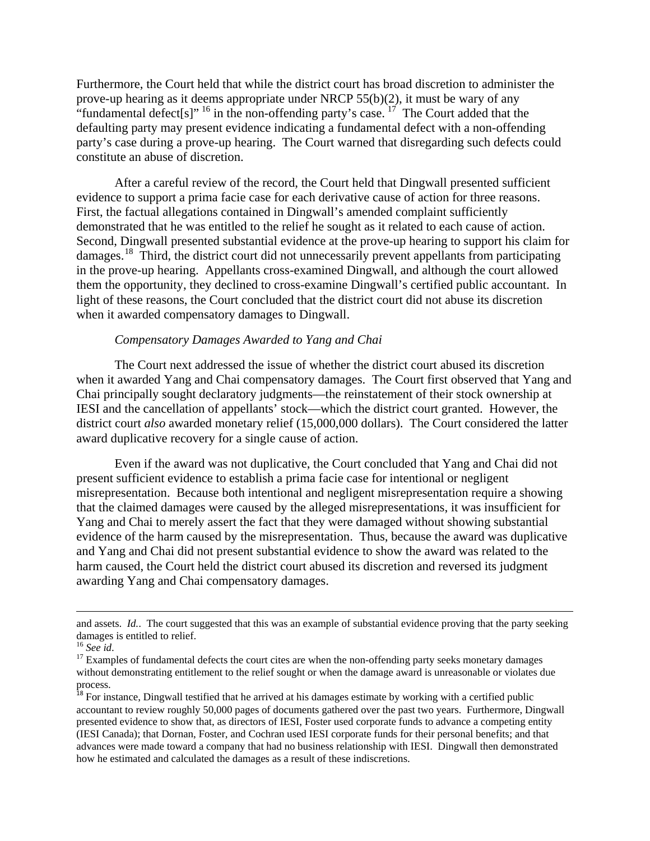Furthermore, the Court held that while the district court has broad discretion to administer the prove-up hearing as it deems appropriate under NRCP 55(b)(2), it must be wary of any "fundamental defect[s]"  $^{16}$  $^{16}$  $^{16}$  in the non-offending party's case.  $^{17}$  $^{17}$  $^{17}$  The Court added that the defaulting party may present evidence indicating a fundamental defect with a non-offending party's case during a prove-up hearing. The Court warned that disregarding such defects could constitute an abuse of discretion.

After a careful review of the record, the Court held that Dingwall presented sufficient evidence to support a prima facie case for each derivative cause of action for three reasons. First, the factual allegations contained in Dingwall's amended complaint sufficiently demonstrated that he was entitled to the relief he sought as it related to each cause of action. Second, Dingwall presented substantial evidence at the prove-up hearing to support his claim for damages.<sup>[18](#page-4-2)</sup> Third, the district court did not unnecessarily prevent appellants from participating in the prove-up hearing. Appellants cross-examined Dingwall, and although the court allowed them the opportunity, they declined to cross-examine Dingwall's certified public accountant. In light of these reasons, the Court concluded that the district court did not abuse its discretion when it awarded compensatory damages to Dingwall.

#### *Compensatory Damages Awarded to Yang and Chai*

The Court next addressed the issue of whether the district court abused its discretion when it awarded Yang and Chai compensatory damages. The Court first observed that Yang and Chai principally sought declaratory judgments—the reinstatement of their stock ownership at IESI and the cancellation of appellants' stock—which the district court granted. However, the district court *also* awarded monetary relief (15,000,000 dollars). The Court considered the latter award duplicative recovery for a single cause of action.

Even if the award was not duplicative, the Court concluded that Yang and Chai did not present sufficient evidence to establish a prima facie case for intentional or negligent misrepresentation. Because both intentional and negligent misrepresentation require a showing that the claimed damages were caused by the alleged misrepresentations, it was insufficient for Yang and Chai to merely assert the fact that they were damaged without showing substantial evidence of the harm caused by the misrepresentation. Thus, because the award was duplicative and Yang and Chai did not present substantial evidence to show the award was related to the harm caused, the Court held the district court abused its discretion and reversed its judgment awarding Yang and Chai compensatory damages.

 $\overline{\phantom{a}}$ 

and assets. *Id.*. The court suggested that this was an example of substantial evidence proving that the party seeking damages is entitled to relief.<br> $^{16}$  See id.

<span id="page-4-1"></span><span id="page-4-0"></span><sup>&</sup>lt;sup>17</sup> Examples of fundamental defects the court cites are when the non-offending party seeks monetary damages without demonstrating entitlement to the relief sought or when the damage award is unreasonable or violates due process.

<span id="page-4-2"></span><sup>&</sup>lt;sup>18</sup> For instance, Dingwall testified that he arrived at his damages estimate by working with a certified public accountant to review roughly 50,000 pages of documents gathered over the past two years. Furthermore, Dingwall presented evidence to show that, as directors of IESI, Foster used corporate funds to advance a competing entity (IESI Canada); that Dornan, Foster, and Cochran used IESI corporate funds for their personal benefits; and that advances were made toward a company that had no business relationship with IESI. Dingwall then demonstrated how he estimated and calculated the damages as a result of these indiscretions.